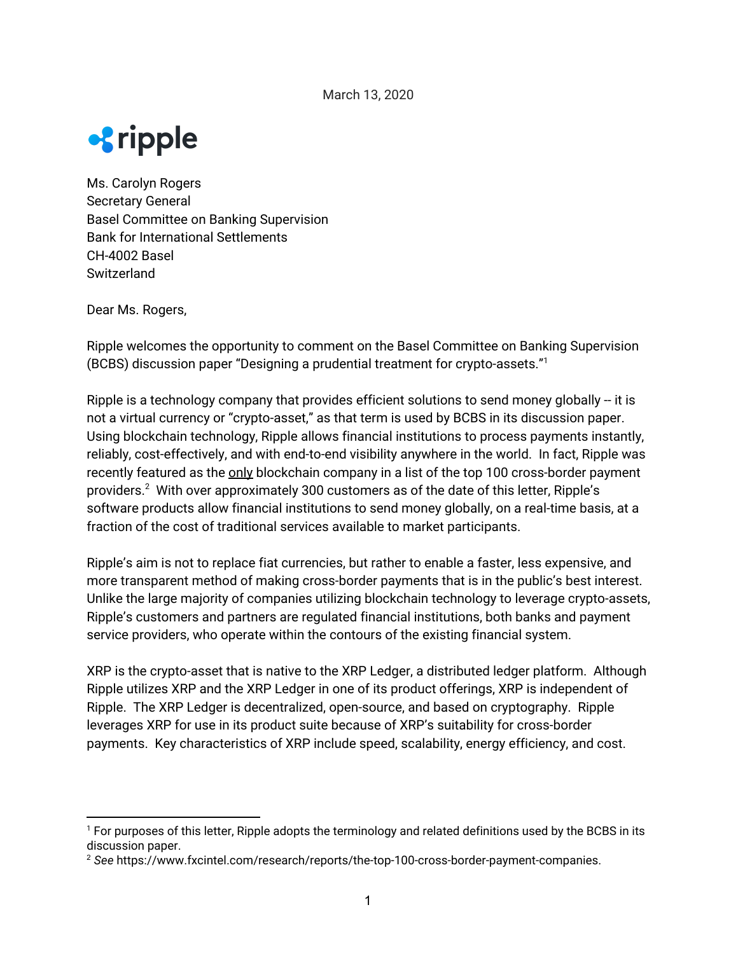

Ms. Carolyn Rogers Secretary General Basel Committee on Banking Supervision Bank for International Settlements CH-4002 Basel **Switzerland** 

Dear Ms. Rogers,

Ripple welcomes the opportunity to comment on the Basel Committee on Banking Supervision (BCBS) discussion paper "Designing a prudential treatment for crypto-assets." 1

Ripple is a technology company that provides efficient solutions to send money globally -- it is not a virtual currency or "crypto-asset," as that term is used by BCBS in its discussion paper. Using blockchain technology, Ripple allows financial institutions to process payments instantly, reliably, cost-effectively, and with end-to-end visibility anywhere in the world. In fact, Ripple was recently featured as the only blockchain company in a list of the top 100 cross-border payment providers. $^2$  With over approximately 300 customers as of the date of this letter, Ripple's software products allow financial institutions to send money globally, on a real-time basis, at a fraction of the cost of traditional services available to market participants.

Ripple's aim is not to replace fiat currencies, but rather to enable a faster, less expensive, and more transparent method of making cross-border payments that is in the public's best interest. Unlike the large majority of companies utilizing blockchain technology to leverage crypto-assets, Ripple's customers and partners are regulated financial institutions, both banks and payment service providers, who operate within the contours of the existing financial system.

XRP is the crypto-asset that is native to the XRP Ledger, a distributed ledger platform. Although Ripple utilizes XRP and the XRP Ledger in one of its product offerings, XRP is independent of Ripple. The XRP Ledger is decentralized, open-source, and based on cryptography. Ripple leverages XRP for use in its product suite because of XRP's suitability for cross-border payments. Key characteristics of XRP include speed, scalability, energy efficiency, and cost.

<sup>&</sup>lt;sup>1</sup> For purposes of this letter, Ripple adopts the terminology and related definitions used by the BCBS in its discussion paper.

<sup>2</sup> *See* https://www.fxcintel.com/research/reports/the-top-100-cross-border-payment-companies.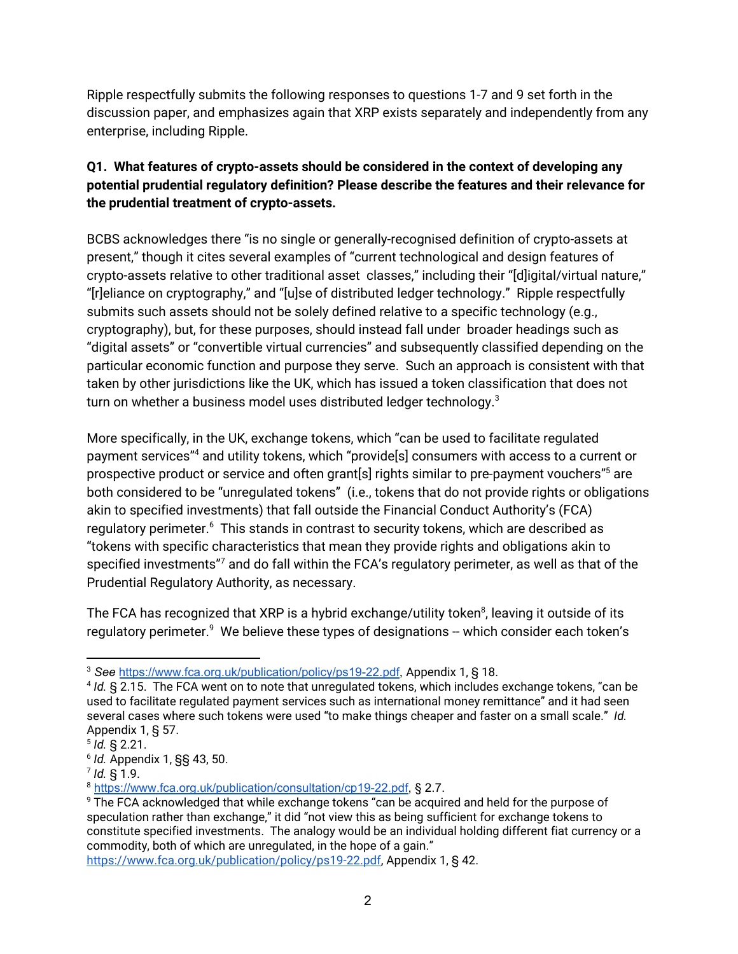Ripple respectfully submits the following responses to questions 1-7 and 9 set forth in the discussion paper, and emphasizes again that XRP exists separately and independently from any enterprise, including Ripple.

# **Q1. What features of crypto-assets should be considered in the context of developing any potential prudential regulatory definition? Please describe the features and their relevance for the prudential treatment of crypto-assets.**

BCBS acknowledges there "is no single or generally-recognised definition of crypto-assets at present," though it cites several examples of "current technological and design features of crypto-assets relative to other traditional asset classes," including their "[d]igital/virtual nature," "[r]eliance on cryptography," and "[u]se of distributed ledger technology." Ripple respectfully submits such assets should not be solely defined relative to a specific technology (e.g., cryptography), but, for these purposes, should instead fall under broader headings such as "digital assets" or "convertible virtual currencies" and subsequently classified depending on the particular economic function and purpose they serve. Such an approach is consistent with that taken by other jurisdictions like the UK, which has issued a token classification that does not turn on whether a business model uses distributed ledger technology. $^3$ 

More specifically, in the UK, exchange tokens, which "can be used to facilitate regulated payment services" $^4$  and utility tokens, which "provide[s] consumers with access to a current or prospective product or service and often grant[s] rights similar to pre-payment vouchers" $^5$  are both considered to be "unregulated tokens" (i.e., tokens that do not provide rights or obligations akin to specified investments) that fall outside the Financial Conduct Authority's (FCA) regulatory perimeter.<sup>6</sup> This stands in contrast to security tokens, which are described as "tokens with specific characteristics that mean they provide rights and obligations akin to specified investments" $^7$  and do fall within the FCA's regulatory perimeter, as well as that of the Prudential Regulatory Authority, as necessary.

The FCA has recognized that XRP is a hybrid exchange/utility token $^{\circ}$ , leaving it outside of its regulatory perimeter. $^9\,$  We believe these types of designations -- which consider each token's

<sup>3</sup> *See* [https://www.fca.org.uk/publication/policy/ps19-22.pdf,](https://www.fca.org.uk/publication/policy/ps19-22.pdf) Appendix 1, § 18.

<sup>4</sup> *Id.* § 2.15. The FCA went on to note that unregulated tokens, which includes exchange tokens, "can be used to facilitate regulated payment services such as international money remittance" and it had seen several cases where such tokens were used "to make things cheaper and faster on a small scale." *Id.* Appendix 1, § 57.

<sup>5</sup> *Id.* § 2.21.

<sup>6</sup> *Id.* Appendix 1, §§ 43, 50.

<sup>7</sup> *Id.* § 1.9.

<sup>8</sup> [https://www.fca.org.uk/publication/consultation/cp19-22.pdf,](https://www.fca.org.uk/publication/consultation/cp19-22.pdf) § 2.7.

<sup>&</sup>lt;sup>9</sup> The FCA acknowledged that while exchange tokens "can be acquired and held for the purpose of speculation rather than exchange," it did "not view this as being sufficient for exchange tokens to constitute specified investments. The analogy would be an individual holding different fiat currency or a commodity, both of which are unregulated, in the hope of a gain."

<https://www.fca.org.uk/publication/policy/ps19-22.pdf>, Appendix 1, § 42.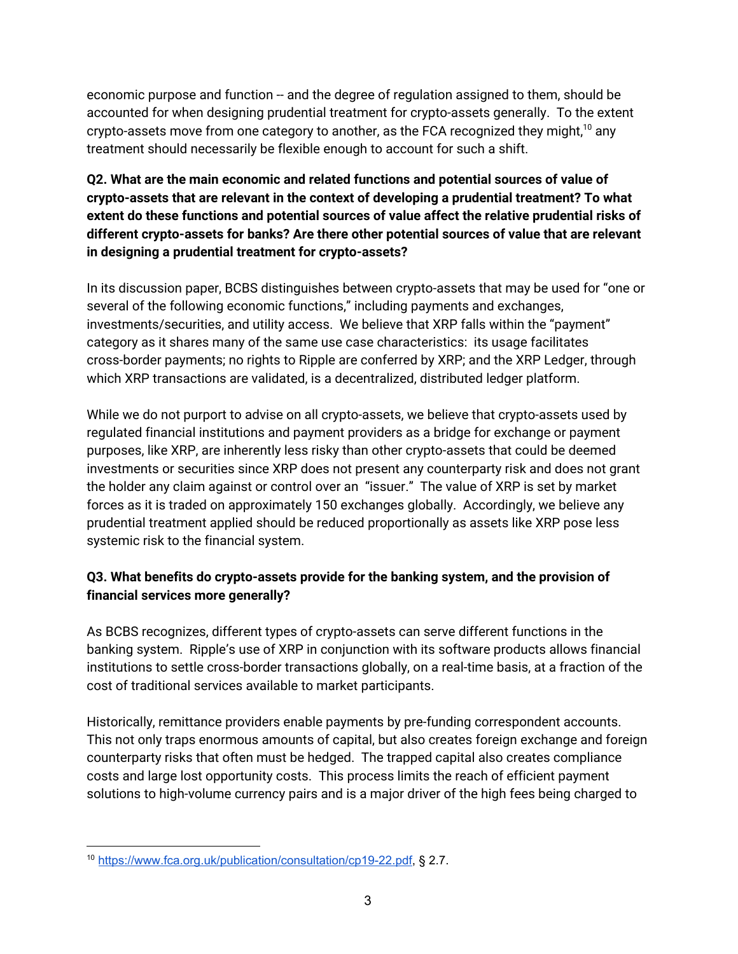economic purpose and function -- and the degree of regulation assigned to them, should be accounted for when designing prudential treatment for crypto-assets generally. To the extent crypto-assets move from one category to another, as the FCA recognized they might, $^{10}$  any treatment should necessarily be flexible enough to account for such a shift.

# **Q2. What are the main economic and related functions and potential sources of value of crypto-assets that are relevant in the context of developing a prudential treatment? To what extent do these functions and potential sources of value affect the relative prudential risks of different crypto-assets for banks? Are there other potential sources of value that are relevant in designing a prudential treatment for crypto-assets?**

In its discussion paper, BCBS distinguishes between crypto-assets that may be used for "one or several of the following economic functions," including payments and exchanges, investments/securities, and utility access. We believe that XRP falls within the "payment" category as it shares many of the same use case characteristics: its usage facilitates cross-border payments; no rights to Ripple are conferred by XRP; and the XRP Ledger, through which XRP transactions are validated, is a decentralized, distributed ledger platform.

While we do not purport to advise on all crypto-assets, we believe that crypto-assets used by regulated financial institutions and payment providers as a bridge for exchange or payment purposes, like XRP, are inherently less risky than other crypto-assets that could be deemed investments or securities since XRP does not present any counterparty risk and does not grant the holder any claim against or control over an "issuer." The value of XRP is set by market forces as it is traded on approximately 150 exchanges globally. Accordingly, we believe any prudential treatment applied should be reduced proportionally as assets like XRP pose less systemic risk to the financial system.

# **Q3. What benefits do crypto-assets provide for the banking system, and the provision of financial services more generally?**

As BCBS recognizes, different types of crypto-assets can serve different functions in the banking system. Ripple's use of XRP in conjunction with its software products allows financial institutions to settle cross-border transactions globally, on a real-time basis, at a fraction of the cost of traditional services available to market participants.

Historically, remittance providers enable payments by pre-funding correspondent accounts. This not only traps enormous amounts of capital, but also creates foreign exchange and foreign counterparty risks that often must be hedged. The trapped capital also creates compliance costs and large lost opportunity costs. This process limits the reach of efficient payment solutions to high-volume currency pairs and is a major driver of the high fees being charged to

<sup>10</sup> <https://www.fca.org.uk/publication/consultation/cp19-22.pdf>, § 2.7.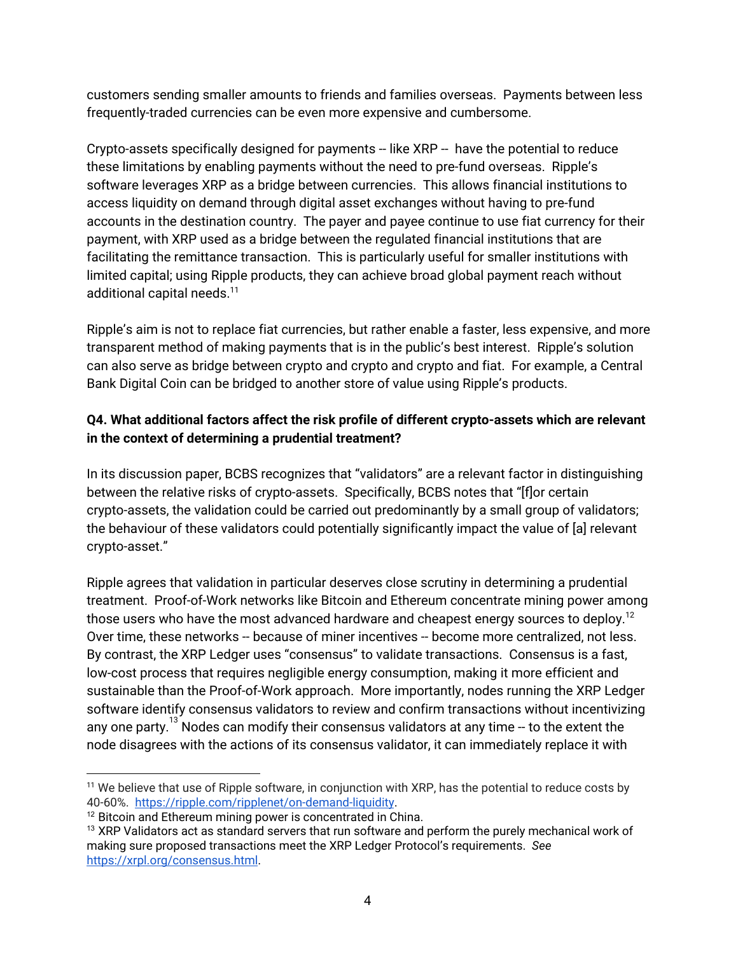customers sending smaller amounts to friends and families overseas. Payments between less frequently-traded currencies can be even more expensive and cumbersome.

Crypto-assets specifically designed for payments -- like XRP -- have the potential to reduce these limitations by enabling payments without the need to pre-fund overseas. Ripple's software leverages XRP as a bridge between currencies. This allows financial institutions to access liquidity on demand through digital asset exchanges without having to pre-fund accounts in the destination country. The payer and payee continue to use fiat currency for their payment, with XRP used as a bridge between the regulated financial institutions that are facilitating the remittance transaction. This is particularly useful for smaller institutions with limited capital; using Ripple products, they can achieve broad global payment reach without additional capital needs. 11

Ripple's aim is not to replace fiat currencies, but rather enable a faster, less expensive, and more transparent method of making payments that is in the public's best interest. Ripple's solution can also serve as bridge between crypto and crypto and crypto and fiat. For example, a Central Bank Digital Coin can be bridged to another store of value using Ripple's products.

### **Q4. What additional factors affect the risk profile of different crypto-assets which are relevant in the context of determining a prudential treatment?**

In its discussion paper, BCBS recognizes that "validators" are a relevant factor in distinguishing between the relative risks of crypto-assets. Specifically, BCBS notes that "[f]or certain crypto-assets, the validation could be carried out predominantly by a small group of validators; the behaviour of these validators could potentially significantly impact the value of [a] relevant crypto-asset."

Ripple agrees that validation in particular deserves close scrutiny in determining a prudential treatment. Proof-of-Work networks like Bitcoin and Ethereum concentrate mining power among those users who have the most advanced hardware and cheapest energy sources to deploy. $^{12}$ Over time, these networks -- because of miner incentives -- become more centralized, not less. By contrast, the XRP Ledger uses "consensus" to validate transactions. Consensus is a fast, low-cost process that requires negligible energy consumption, making it more efficient and sustainable than the Proof-of-Work approach. More importantly, nodes running the XRP Ledger software identify consensus validators to review and confirm transactions without incentivizing any one party. $^{13}$  Nodes can modify their consensus validators at any time -- to the extent the node disagrees with the actions of its consensus validator, it can immediately replace it with

<sup>&</sup>lt;sup>11</sup> We believe that use of Ripple software, in conjunction with XRP, has the potential to reduce costs by 40-60%. <https://ripple.com/ripplenet/on-demand-liquidity>.

<sup>&</sup>lt;sup>12</sup> Bitcoin and Ethereum mining power is concentrated in China.

 $13$  XRP Validators act as standard servers that run software and perform the purely mechanical work of making sure proposed transactions meet the XRP Ledger Protocol's requirements. *See* <https://xrpl.org/consensus.html>.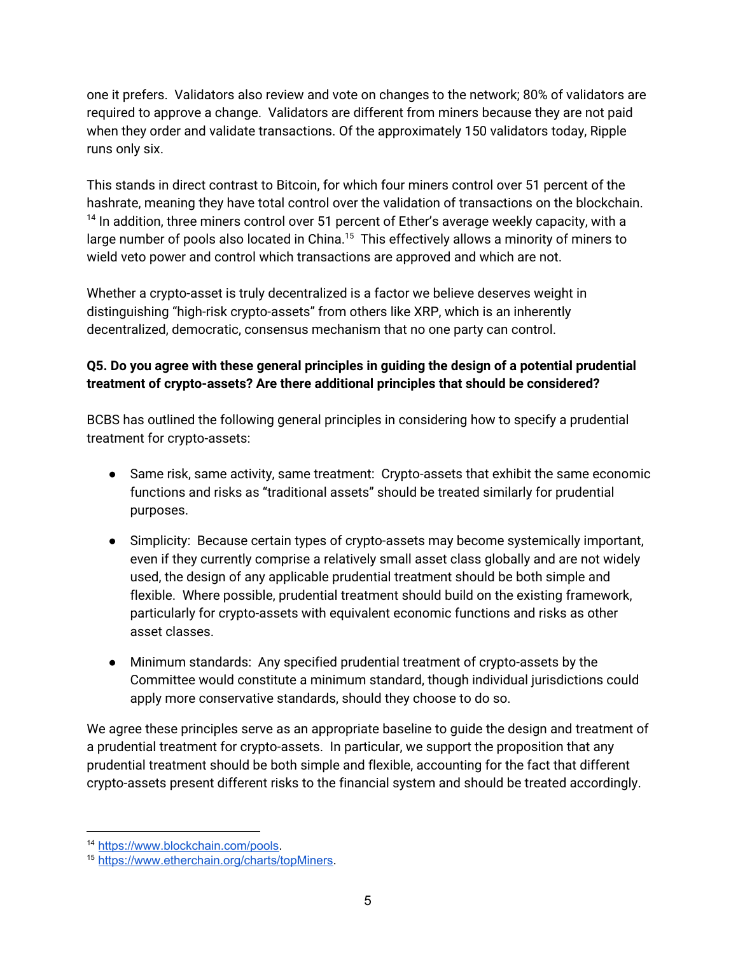one it prefers. Validators also review and vote on changes to the network; 80% of validators are required to approve a change. Validators are different from miners because they are not paid when they order and validate transactions. Of the approximately 150 validators today, Ripple runs only six.

This stands in direct contrast to Bitcoin, for which four miners control over 51 percent of the hashrate, meaning they have total control over the validation of transactions on the blockchain.  $14$  In addition, three miners control over 51 percent of Ether's average weekly capacity, with a large number of pools also located in China. $^{15}$  This effectively allows a minority of miners to wield veto power and control which transactions are approved and which are not.

Whether a crypto-asset is truly decentralized is a factor we believe deserves weight in distinguishing "high-risk crypto-assets" from others like XRP, which is an inherently decentralized, democratic, consensus mechanism that no one party can control.

# **Q5. Do you agree with these general principles in guiding the design of a potential prudential treatment of crypto-assets? Are there additional principles that should be considered?**

BCBS has outlined the following general principles in considering how to specify a prudential treatment for crypto-assets:

- Same risk, same activity, same treatment: Crypto-assets that exhibit the same economic functions and risks as "traditional assets" should be treated similarly for prudential purposes.
- Simplicity: Because certain types of crypto-assets may become systemically important, even if they currently comprise a relatively small asset class globally and are not widely used, the design of any applicable prudential treatment should be both simple and flexible. Where possible, prudential treatment should build on the existing framework, particularly for crypto-assets with equivalent economic functions and risks as other asset classes.
- Minimum standards: Any specified prudential treatment of crypto-assets by the Committee would constitute a minimum standard, though individual jurisdictions could apply more conservative standards, should they choose to do so.

We agree these principles serve as an appropriate baseline to guide the design and treatment of a prudential treatment for crypto-assets. In particular, we support the proposition that any prudential treatment should be both simple and flexible, accounting for the fact that different crypto-assets present different risks to the financial system and should be treated accordingly.

<sup>14</sup> [https://www.blockchain.com/pools.](https://www.blockchain.com/pools)

<sup>15</sup> [https://www.etherchain.org/charts/topMiners.](https://www.etherchain.org/charts/topMiners)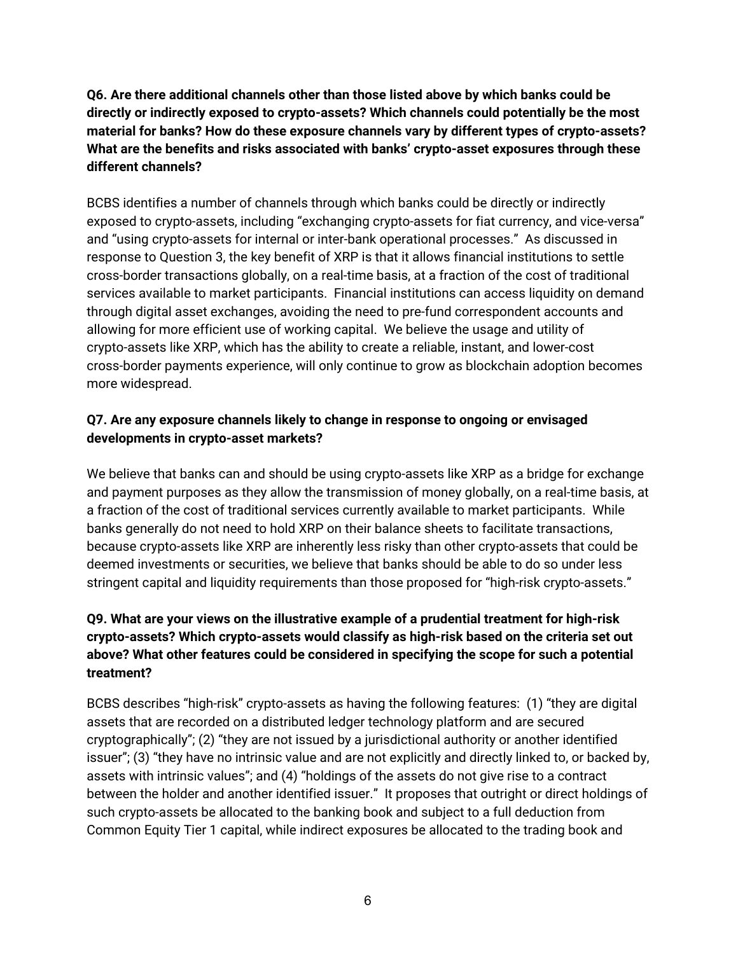**Q6. Are there additional channels other than those listed above by which banks could be directly or indirectly exposed to crypto-assets? Which channels could potentially be the most material for banks? How do these exposure channels vary by different types of crypto-assets? What are the benefits and risks associated with banks' crypto-asset exposures through these different channels?**

BCBS identifies a number of channels through which banks could be directly or indirectly exposed to crypto-assets, including "exchanging crypto-assets for fiat currency, and vice-versa" and "using crypto-assets for internal or inter-bank operational processes." As discussed in response to Question 3, the key benefit of XRP is that it allows financial institutions to settle cross-border transactions globally, on a real-time basis, at a fraction of the cost of traditional services available to market participants. Financial institutions can access liquidity on demand through digital asset exchanges, avoiding the need to pre-fund correspondent accounts and allowing for more efficient use of working capital. We believe the usage and utility of crypto-assets like XRP, which has the ability to create a reliable, instant, and lower-cost cross-border payments experience, will only continue to grow as blockchain adoption becomes more widespread.

#### **Q7. Are any exposure channels likely to change in response to ongoing or envisaged developments in crypto-asset markets?**

We believe that banks can and should be using crypto-assets like XRP as a bridge for exchange and payment purposes as they allow the transmission of money globally, on a real-time basis, at a fraction of the cost of traditional services currently available to market participants. While banks generally do not need to hold XRP on their balance sheets to facilitate transactions, because crypto-assets like XRP are inherently less risky than other crypto-assets that could be deemed investments or securities, we believe that banks should be able to do so under less stringent capital and liquidity requirements than those proposed for "high-risk crypto-assets."

# **Q9. What are your views on the illustrative example of a prudential treatment for high-risk crypto-assets? Which crypto-assets would classify as high-risk based on the criteria set out above? What other features could be considered in specifying the scope for such a potential treatment?**

BCBS describes "high-risk" crypto-assets as having the following features: (1) "they are digital assets that are recorded on a distributed ledger technology platform and are secured cryptographically"; (2) "they are not issued by a jurisdictional authority or another identified issuer"; (3) "they have no intrinsic value and are not explicitly and directly linked to, or backed by, assets with intrinsic values"; and (4) "holdings of the assets do not give rise to a contract between the holder and another identified issuer." It proposes that outright or direct holdings of such crypto-assets be allocated to the banking book and subject to a full deduction from Common Equity Tier 1 capital, while indirect exposures be allocated to the trading book and